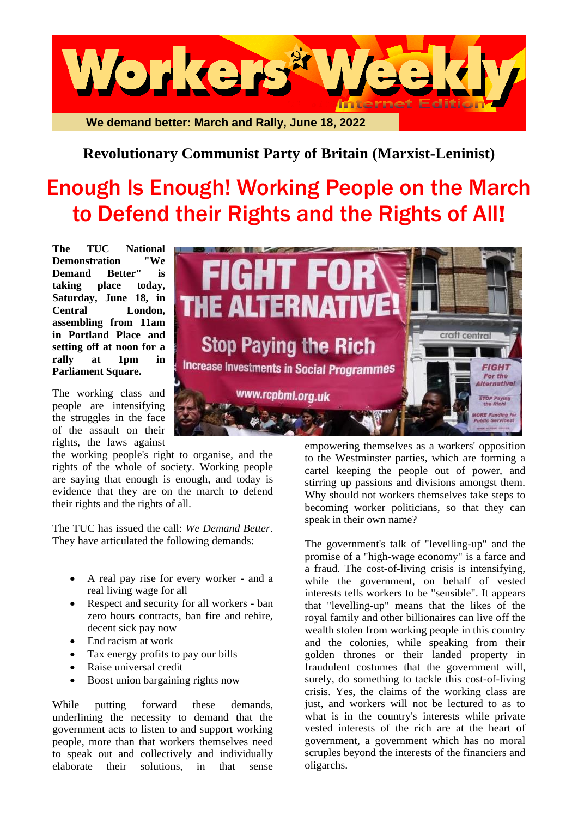

## **Revolutionary Communist Party of Britain (Marxist-Leninist)**

## Enough Is Enough! Working People on the March to Defend their Rights and the Rights of All!

**The TUC National Demonstration "We Demand Better" is taking place today, Saturday, June 18, in Central London, assembling from 11am in Portland Place and setting off at noon for a rally at 1pm in Parliament Square.**

The working class and people are intensifying the struggles in the face of the assault on their rights, the laws against

the working people's right to organise, and the rights of the whole of society. Working people are saying that enough is enough, and today is evidence that they are on the march to defend their rights and the rights of all.

The TUC has issued the call: *We Demand Better*. They have articulated the following demands:

- A real pay rise for every worker and a real living wage for all
- Respect and security for all workers ban zero hours contracts, ban fire and rehire, decent sick pay now
- End racism at work
- Tax energy profits to pay our bills
- Raise universal credit
- Boost union bargaining rights now

While putting forward these demands, underlining the necessity to demand that the government acts to listen to and support working people, more than that workers themselves need to speak out and collectively and individually elaborate their solutions, in that sense



empowering themselves as a workers' opposition to the Westminster parties, which are forming a cartel keeping the people out of power, and stirring up passions and divisions amongst them. Why should not workers themselves take steps to becoming worker politicians, so that they can speak in their own name?

The government's talk of "levelling-up" and the promise of a "high-wage economy" is a farce and a fraud. The cost-of-living crisis is intensifying, while the government, on behalf of vested interests tells workers to be "sensible". It appears that "levelling-up" means that the likes of the royal family and other billionaires can live off the wealth stolen from working people in this country and the colonies, while speaking from their golden thrones or their landed property in fraudulent costumes that the government will, surely, do something to tackle this cost-of-living crisis. Yes, the claims of the working class are just, and workers will not be lectured to as to what is in the country's interests while private vested interests of the rich are at the heart of government, a government which has no moral scruples beyond the interests of the financiers and oligarchs.